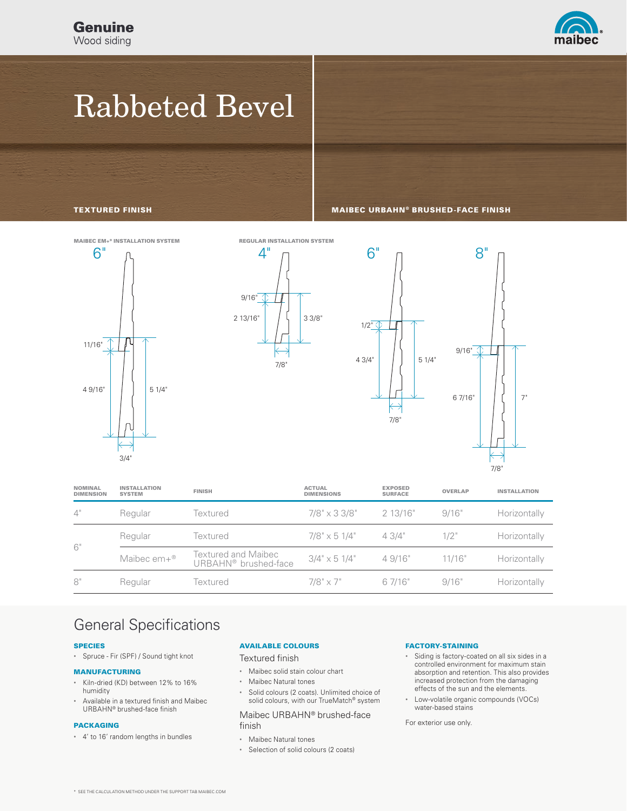

# Rabbeted Bevel

TEXTURED FINISH MAIBEC URBAHN® BRUSHED-FACE FINISH





| <b>NOMINAL</b><br><b>DIMENSION</b> | <b>INSTALLATION</b><br><b>SYSTEM</b> | <b>FINISH</b>                                                  | <b>ACTUAL</b><br><b>DIMENSIONS</b> | <b>EXPOSED</b><br><b>SURFACE</b> | <b>OVERLAP</b> | <b>INSTALLATION</b> |
|------------------------------------|--------------------------------------|----------------------------------------------------------------|------------------------------------|----------------------------------|----------------|---------------------|
| 4"                                 | Regular                              | Textured                                                       | $7/8" \times 3 \frac{3}{8"$        | 2 13/16"                         | 9/16"          | Horizontally        |
| 6"                                 | Regular                              | Textured                                                       | $7/8" \times 51/4"$                | 43/4"                            | $1/2$ "        | Horizontally        |
|                                    | Maibec em+®                          | <b>Textured and Maibec</b><br>URBAHN <sup>®</sup> brushed-face | $3/4$ " $\times$ 5 1/4"            | 49/16"                           | 11/16"         | Horizontally        |
| 8"                                 | Regular                              | Textured                                                       | $7/8" \times 7"$                   | 6 7/16"                          | 9/16'          | Horizontally        |

### General Specifications

### SPECIES

• Spruce - Fir (SPF) / Sound tight knot

### MANUFACTURING

- Kiln-dried (KD) between 12% to 16% humidity
- Available in a textured finish and Maibec URBAHN® brushed-face finish

### PACKAGING

• 4' to 16' random lengths in bundles

### AVAILABLE COLOURS

Textured finish

- Maibec solid stain colour chart
- Maibec Natural tones
- Solid colours (2 coats). Unlimited choice of solid colours, with our TrueMatch<sup>®</sup> system

### Maibec URBAHN® brushed-face finish

- Maibec Natural tones
- Selection of solid colours (2 coats)

#### FACTORY-STAINING

- Siding is factory-coated on all six sides in a controlled environment for maximum stain absorption and retention. This also provides increased protection from the damaging effects of the sun and the elements.
- Low-volatile organic compounds (VOCs) water-based stains

For exterior use only.